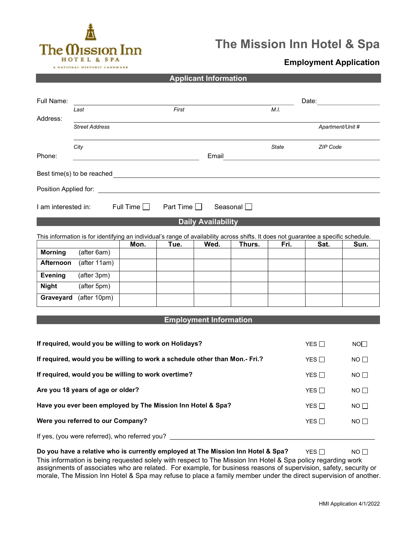

# The Mission Inn Hotel & Spa

## Employment Application

Applicant Information

| Full Name:                                                                  |                                                                                                                                                                                                                                |                  |                  |                               |                         |       | Date: the contract of the contract of the contract of the contract of the contract of the contract of the contract of the contract of the contract of the contract of the contract of the contract of the contract of the cont |                  |
|-----------------------------------------------------------------------------|--------------------------------------------------------------------------------------------------------------------------------------------------------------------------------------------------------------------------------|------------------|------------------|-------------------------------|-------------------------|-------|--------------------------------------------------------------------------------------------------------------------------------------------------------------------------------------------------------------------------------|------------------|
|                                                                             | Last                                                                                                                                                                                                                           |                  | First            |                               |                         | M.I.  |                                                                                                                                                                                                                                |                  |
| Address:                                                                    | <b>Street Address</b>                                                                                                                                                                                                          |                  |                  |                               |                         |       |                                                                                                                                                                                                                                | Apartment/Unit # |
|                                                                             |                                                                                                                                                                                                                                |                  |                  |                               |                         |       |                                                                                                                                                                                                                                |                  |
|                                                                             | City                                                                                                                                                                                                                           |                  |                  |                               |                         | State | ZIP Code                                                                                                                                                                                                                       |                  |
| Phone:                                                                      |                                                                                                                                                                                                                                |                  |                  | Email                         |                         |       |                                                                                                                                                                                                                                |                  |
|                                                                             |                                                                                                                                                                                                                                |                  |                  |                               |                         |       |                                                                                                                                                                                                                                |                  |
|                                                                             |                                                                                                                                                                                                                                |                  |                  |                               |                         |       |                                                                                                                                                                                                                                |                  |
|                                                                             |                                                                                                                                                                                                                                |                  |                  |                               |                         |       |                                                                                                                                                                                                                                |                  |
| I am interested in:                                                         |                                                                                                                                                                                                                                | Full Time $\Box$ | Part Time $\Box$ |                               | Seasonal <sup>[1]</sup> |       |                                                                                                                                                                                                                                |                  |
|                                                                             |                                                                                                                                                                                                                                |                  |                  | <b>Daily Availability</b>     |                         |       |                                                                                                                                                                                                                                |                  |
|                                                                             | This information is for identifying an individual's range of availability across shifts. It does not guarantee a specific schedule.                                                                                            |                  |                  |                               |                         |       |                                                                                                                                                                                                                                |                  |
| <b>Morning</b>                                                              | (after 6am)                                                                                                                                                                                                                    | Mon.             | Tue.             | Wed.                          | Thurs.                  | Fri.  | Sat.                                                                                                                                                                                                                           | Sun.             |
| Afternoon                                                                   | (after 11am)                                                                                                                                                                                                                   |                  |                  |                               |                         |       |                                                                                                                                                                                                                                |                  |
| <b>Evening</b>                                                              | (after 3pm)                                                                                                                                                                                                                    |                  |                  |                               |                         |       |                                                                                                                                                                                                                                |                  |
| <b>Night</b>                                                                | (after 5pm)                                                                                                                                                                                                                    |                  |                  |                               |                         |       |                                                                                                                                                                                                                                |                  |
| Graveyard                                                                   | (after 10pm)                                                                                                                                                                                                                   |                  |                  |                               |                         |       |                                                                                                                                                                                                                                |                  |
|                                                                             |                                                                                                                                                                                                                                |                  |                  |                               |                         |       |                                                                                                                                                                                                                                |                  |
|                                                                             |                                                                                                                                                                                                                                |                  |                  | <b>Employment Information</b> |                         |       |                                                                                                                                                                                                                                |                  |
|                                                                             |                                                                                                                                                                                                                                |                  |                  |                               |                         |       |                                                                                                                                                                                                                                |                  |
|                                                                             | If required, would you be willing to work on Holidays?                                                                                                                                                                         |                  |                  |                               |                         |       | YES $\Box$                                                                                                                                                                                                                     | NOT              |
| If required, would you be willing to work a schedule other than Mon.- Fri.? |                                                                                                                                                                                                                                |                  |                  | YES $\square$                 | $NO$ $\Box$             |       |                                                                                                                                                                                                                                |                  |
| If required, would you be willing to work overtime?                         |                                                                                                                                                                                                                                |                  |                  | YES $\Box$                    | $NO$ $\Box$             |       |                                                                                                                                                                                                                                |                  |
| Are you 18 years of age or older?                                           |                                                                                                                                                                                                                                |                  |                  | YES $\square$                 | NO                      |       |                                                                                                                                                                                                                                |                  |
|                                                                             | Have you ever been employed by The Mission Inn Hotel & Spa?                                                                                                                                                                    |                  |                  |                               |                         |       | YES                                                                                                                                                                                                                            | NO <sub>1</sub>  |
|                                                                             | Were you referred to our Company?                                                                                                                                                                                              |                  |                  |                               |                         |       | YES $\square$                                                                                                                                                                                                                  | $NO$ $\Box$      |
|                                                                             | If yes, (you were referred), who referred you? Lettuck and the state of the state of the state of the state of the state of the state of the state of the state of the state of the state of the state of the state of the sta |                  |                  |                               |                         |       |                                                                                                                                                                                                                                |                  |
|                                                                             | Do you have a relative who is currently employed at The Mission Inn Hotel & Spa?                                                                                                                                               |                  |                  |                               |                         |       | YES $\square$                                                                                                                                                                                                                  | NO               |

This information is being requested solely with respect to The Mission Inn Hotel & Spa policy regarding work assignments of associates who are related. For example, for business reasons of supervision, safety, security or morale, The Mission Inn Hotel & Spa may refuse to place a family member under the direct supervision of another.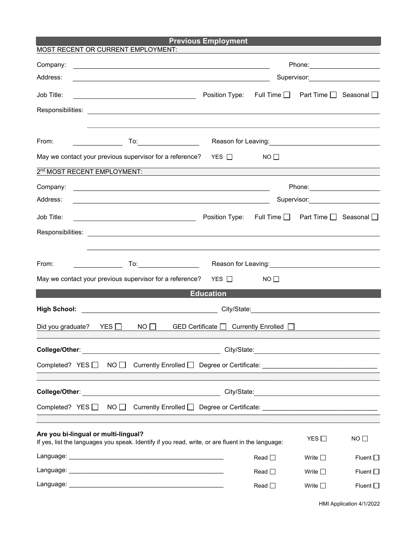| <b>Previous Employment</b> |
|----------------------------|
|                            |

| MOST RECENT OR CURRENT EMPLOYMENT:                                                                                                        |                                    |                                                                                                                        |                                                                                                                  |                  |  |  |
|-------------------------------------------------------------------------------------------------------------------------------------------|------------------------------------|------------------------------------------------------------------------------------------------------------------------|------------------------------------------------------------------------------------------------------------------|------------------|--|--|
| Company:<br><u> 1989 - Johann Stoff, deutscher Stoffen und der Stoffen und der Stoffen und der Stoffen und der Stoffen und der</u>        |                                    |                                                                                                                        | Phone: ________________________                                                                                  |                  |  |  |
| Address:                                                                                                                                  | Supervisor: ______________________ |                                                                                                                        |                                                                                                                  |                  |  |  |
| Job Title:<br><u> 1989 - Johann Barn, mars eta bainar eta idazlea (</u>                                                                   |                                    | Position Type: Full Time □ Part Time □ Seasonal □                                                                      |                                                                                                                  |                  |  |  |
|                                                                                                                                           |                                    |                                                                                                                        |                                                                                                                  |                  |  |  |
|                                                                                                                                           |                                    |                                                                                                                        |                                                                                                                  |                  |  |  |
| From:                                                                                                                                     |                                    | Reason for Leaving: <u>contained a series of the series of the series of the series of the series of the series of</u> |                                                                                                                  |                  |  |  |
| May we contact your previous supervisor for a reference?                                                                                  | YES $\Box$                         | NO <sub>1</sub>                                                                                                        |                                                                                                                  |                  |  |  |
| 2 <sup>nd</sup> MOST RECENT EMPLOYMENT:                                                                                                   |                                    |                                                                                                                        |                                                                                                                  |                  |  |  |
| Company:<br><u> Alexandria de la contrada de la contrada de la contrada de la contrada de la contrada de la contrada de la c</u>          |                                    |                                                                                                                        | Phone: _______________________                                                                                   |                  |  |  |
| Address:<br><u> 1989 - Johann Stoff, deutscher Stoffen und der Stoffen und der Stoffen und der Stoffen und der Stoffen und de</u>         |                                    |                                                                                                                        | Supervisor: Victor Control of Control Control Control Control Control Control Control Control Control Control Co |                  |  |  |
| Job Title:                                                                                                                                |                                    | Position Type: Full Time □ Part Time □ Seasonal □                                                                      |                                                                                                                  |                  |  |  |
|                                                                                                                                           |                                    |                                                                                                                        |                                                                                                                  |                  |  |  |
|                                                                                                                                           |                                    |                                                                                                                        |                                                                                                                  |                  |  |  |
| <b>To:______________________</b> ____<br>From:                                                                                            |                                    |                                                                                                                        |                                                                                                                  |                  |  |  |
| May we contact your previous supervisor for a reference? $YES \Box$                                                                       |                                    | $NO$ $\Box$                                                                                                            |                                                                                                                  |                  |  |  |
|                                                                                                                                           | <b>Education</b>                   |                                                                                                                        |                                                                                                                  |                  |  |  |
|                                                                                                                                           |                                    | City/State: City/State:                                                                                                |                                                                                                                  |                  |  |  |
| Did you graduate? YES □<br>$NO$ $\Box$                                                                                                    |                                    |                                                                                                                        |                                                                                                                  |                  |  |  |
|                                                                                                                                           |                                    |                                                                                                                        |                                                                                                                  |                  |  |  |
| College/Other:                                                                                                                            | City/State:                        |                                                                                                                        |                                                                                                                  |                  |  |  |
| Completed? YES $\Box$<br>$NO$ $\Box$                                                                                                      |                                    |                                                                                                                        |                                                                                                                  |                  |  |  |
|                                                                                                                                           |                                    |                                                                                                                        |                                                                                                                  |                  |  |  |
|                                                                                                                                           |                                    |                                                                                                                        |                                                                                                                  |                  |  |  |
| Completed? YES $\Box$<br>$NO$ $\Box$                                                                                                      |                                    |                                                                                                                        |                                                                                                                  |                  |  |  |
|                                                                                                                                           |                                    |                                                                                                                        |                                                                                                                  |                  |  |  |
| Are you bi-lingual or multi-lingual?<br>If yes, list the languages you speak. Identify if you read, write, or are fluent in the language: |                                    |                                                                                                                        | YES $\Box$                                                                                                       | $NO \Box$        |  |  |
|                                                                                                                                           |                                    | Read $\square$                                                                                                         | Write $\square$                                                                                                  | Fluent $\square$ |  |  |
|                                                                                                                                           |                                    | Read $\Box$                                                                                                            | Write $\square$                                                                                                  | Fluent $\square$ |  |  |
|                                                                                                                                           |                                    | Read $\square$                                                                                                         | Write $\square$                                                                                                  | Fluent $\square$ |  |  |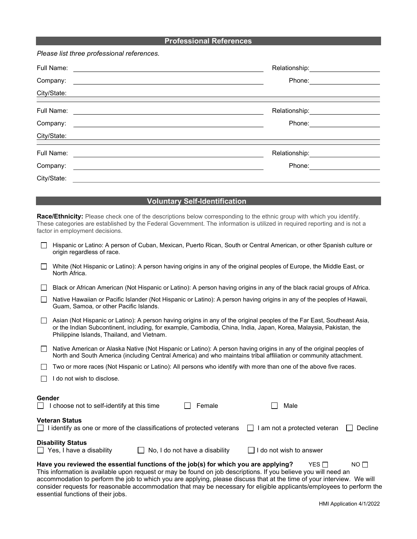#### Professional References

Please list three professional references.

| Full Name:<br>Company:<br>City/State:<br><u> 1980 - Andrea Andrew Stadt, fransk kongresu i starte og det for de stadt som for de stadt som for de stadt s</u> | Relationship:__________<br>Phone: |
|---------------------------------------------------------------------------------------------------------------------------------------------------------------|-----------------------------------|
| Full Name:<br>Company:<br>City/State:                                                                                                                         | Relationship:<br>Phone:           |
| Full Name:<br>Company:<br>City/State:                                                                                                                         | Relationship: _________<br>Phone: |

#### Voluntary Self-Identification

Race/Ethnicity: Please check one of the descriptions below corresponding to the ethnic group with which you identify. These categories are established by the Federal Government. The information is utilized in required reporting and is not a factor in employment decisions.

|        | Hispanic or Latino: A person of Cuban, Mexican, Puerto Rican, South or Central American, or other Spanish culture or<br>origin regardless of race.                                                                                                                                         |  |  |  |  |  |
|--------|--------------------------------------------------------------------------------------------------------------------------------------------------------------------------------------------------------------------------------------------------------------------------------------------|--|--|--|--|--|
|        | White (Not Hispanic or Latino): A person having origins in any of the original peoples of Europe, the Middle East, or<br>North Africa.                                                                                                                                                     |  |  |  |  |  |
|        | Black or African American (Not Hispanic or Latino): A person having origins in any of the black racial groups of Africa.                                                                                                                                                                   |  |  |  |  |  |
|        | Native Hawaiian or Pacific Islander (Not Hispanic or Latino): A person having origins in any of the peoples of Hawaii,<br>Guam, Samoa, or other Pacific Islands.                                                                                                                           |  |  |  |  |  |
|        | Asian (Not Hispanic or Latino): A person having origins in any of the original peoples of the Far East, Southeast Asia,<br>or the Indian Subcontinent, including, for example, Cambodia, China, India, Japan, Korea, Malaysia, Pakistan, the<br>Philippine Islands, Thailand, and Vietnam. |  |  |  |  |  |
|        | Native American or Alaska Native (Not Hispanic or Latino): A person having origins in any of the original peoples of<br>North and South America (including Central America) and who maintains tribal affiliation or community attachment.                                                  |  |  |  |  |  |
|        | Two or more races (Not Hispanic or Latino): All persons who identify with more than one of the above five races.                                                                                                                                                                           |  |  |  |  |  |
|        | I do not wish to disclose.                                                                                                                                                                                                                                                                 |  |  |  |  |  |
| Gender | I choose not to self-identify at this time<br>Female<br>Male                                                                                                                                                                                                                               |  |  |  |  |  |
|        | <b>Veteran Status</b><br>$\Box$ I identify as one or more of the classifications of protected veterans<br>I am not a protected veteran<br>Decline<br>$\mathbf{I}$                                                                                                                          |  |  |  |  |  |
|        | <b>Disability Status</b><br>No, I do not have a disability<br>I do not wish to answer<br>$\Box$ Yes, I have a disability                                                                                                                                                                   |  |  |  |  |  |
|        | Have you reviewed the essential functions of the job(s) for which you are applying?<br>YES $\Box$<br>$NO$ $\Box$                                                                                                                                                                           |  |  |  |  |  |

This information is available upon request or may be found on job descriptions. If you believe you will need an accommodation to perform the job to which you are applying, please discuss that at the time of your interview. We will consider requests for reasonable accommodation that may be necessary for eligible applicants/employees to perform the essential functions of their jobs.